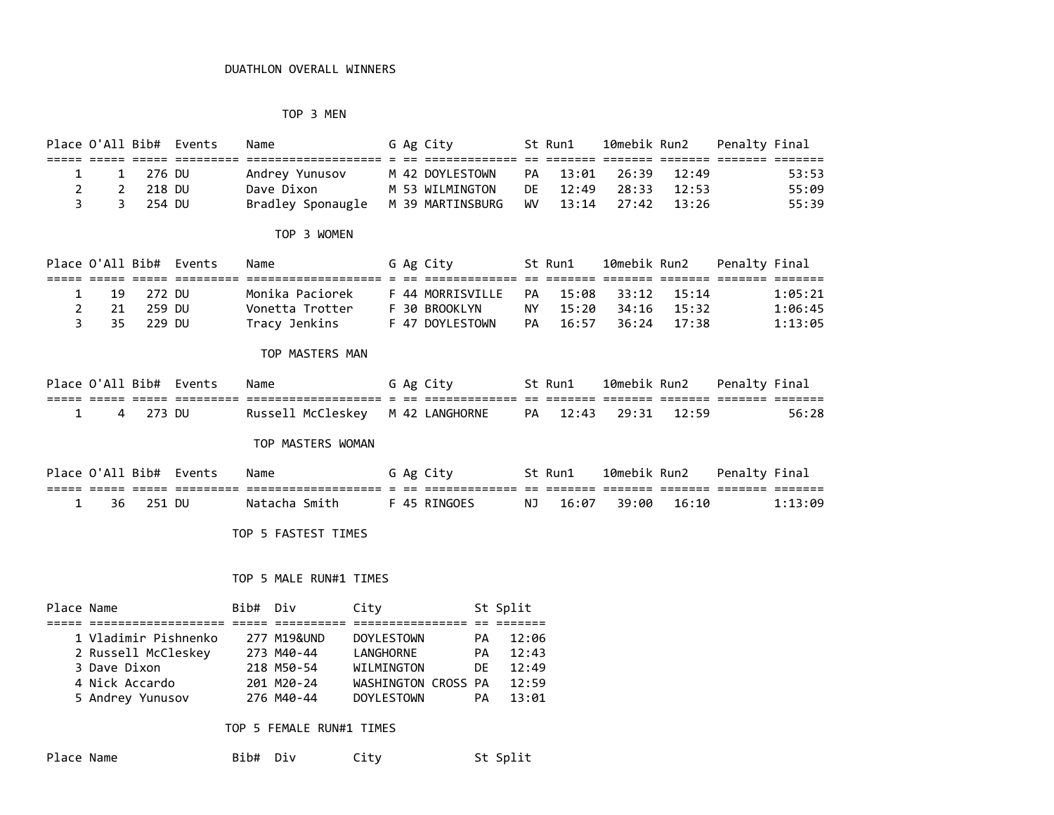# TOP 3 MEN

|             |            | Place O'All Bib# Events | Name                                                    |  | G Ag City       | St Run1              |  | 10mebik Run2   Penalty Final |       |
|-------------|------------|-------------------------|---------------------------------------------------------|--|-----------------|----------------------|--|------------------------------|-------|
|             |            |                         |                                                         |  |                 |                      |  |                              |       |
|             | 1 1 276 DU |                         | Andrey Yunusov                                          |  | M 42 DOYLESTOWN | PA 13:01 26:39 12:49 |  |                              | 53:53 |
| $2^{\circ}$ | 2 218 DU   |                         | Dave Dixon                                              |  | M 53 WILMINGTON | DE 12:49 28:33 12:53 |  |                              | 55:09 |
|             | 3 3 254 DU |                         | Bradley Sponaugle M 39 MARTINSBURG WV 13:14 27:42 13:26 |  |                 |                      |  |                              | 55:39 |

### TOP 3 WOMEN

|  |             | Place O'All Bib# Events | Name            |  | G Ag City           |     | St Run1           | 10mebik Run2      |             | Penalty Final |         |
|--|-------------|-------------------------|-----------------|--|---------------------|-----|-------------------|-------------------|-------------|---------------|---------|
|  |             |                         |                 |  |                     |     |                   |                   |             |               |         |
|  | 1 19 272 DU |                         | Monika Paciorek |  | F 44 MORRISVILLE PA |     | 15:08 33:12 15:14 |                   |             |               | 1:05:21 |
|  | 2 21 259 DU |                         | Vonetta Trotter |  | F 30 BROOKLYN       | NY. | 15:20             |                   | 34:16 15:32 |               | 1:06:45 |
|  | 3 35 229 DU |                         | Tracy Jenkins   |  | F 47 DOYLESTOWN     | PA. |                   | 16:57 36:24 17:38 |             |               | 1:13:05 |

### TOP MASTERS MAN

|  |            | Place O'All Bib# Events | Name                                                                              |  | G Ag City | St Run1 10mebik Run2 Penalty Final |  |       |
|--|------------|-------------------------|-----------------------------------------------------------------------------------|--|-----------|------------------------------------|--|-------|
|  |            |                         |                                                                                   |  |           |                                    |  |       |
|  | 1 4 273 DU |                         | Russell McCleskev     M  42  LANGHORNE        PA      12:43      29:31      12:59 |  |           |                                    |  | 56:28 |

## TOP MASTERS WOMAN

|           | Place O'All Bib# Events | Name          |  | G Ag City    | St Run1  | 10mebik Run2 |       | Penalty Final |         |
|-----------|-------------------------|---------------|--|--------------|----------|--------------|-------|---------------|---------|
|           |                         |               |  |              |          |              |       |               |         |
| 36 251 DU |                         | Natacha Smith |  | F 45 RINGOES | NJ 16:07 | 39:00        | 16:10 |               | 1:13:09 |

TOP 5 FASTEST TIMES

# TOP 5 MALE RUN#1 TIMES

| Place Name |                      | Bib# Div |             | City                |           | St Split |
|------------|----------------------|----------|-------------|---------------------|-----------|----------|
|            |                      |          |             |                     |           |          |
|            | 1 Vladimir Pishnenko |          | 277 M19&UND | <b>DOYLESTOWN</b>   | <b>PA</b> | 12:06    |
|            | 2 Russell McCleskey  |          | 273 M40-44  | LANGHORNE           | PA        | 12:43    |
|            | 3 Dave Dixon         |          | 218 M50-54  | WILMINGTON          | DF        | 12:49    |
|            | 4 Nick Accardo       |          | 201 M20-24  | WASHINGTON CROSS PA |           | 12:59    |
|            | 5 Andrey Yunusov     |          | 276 M40-44  | <b>DOYLESTOWN</b>   | <b>PA</b> | 13:01    |

### TOP 5 FEMALE RUN#1 TIMES

| Place Name | Bib# Div | Citv | St Split |
|------------|----------|------|----------|
|------------|----------|------|----------|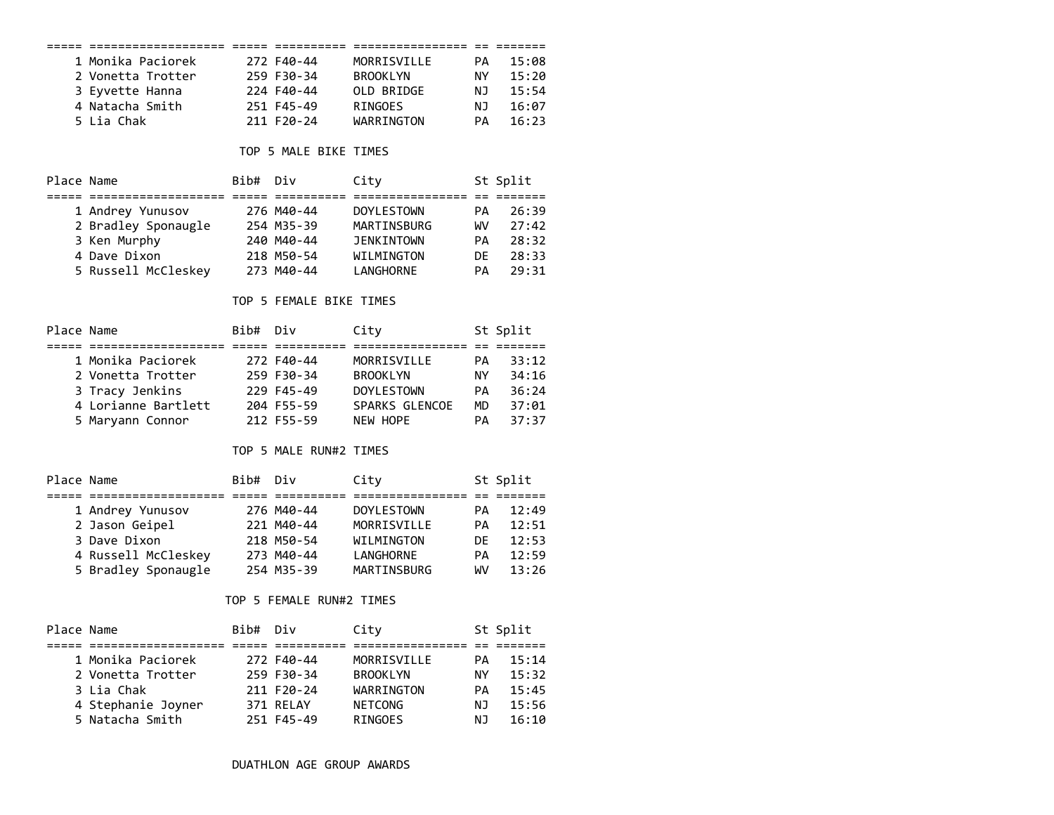|                                |      |                          | ================  |           | == ======= |
|--------------------------------|------|--------------------------|-------------------|-----------|------------|
| 1 Monika Paciorek              |      | 272 F40-44               | MORRISVILLE       | PA        | 15:08      |
| 2 Vonetta Trotter              |      | 259 F30-34               | <b>BROOKLYN</b>   | NY.       | 15:20      |
| 3 Eyvette Hanna                |      | 224 F40-44               | OLD BRIDGE        | ΝJ        | 15:54      |
| 4 Natacha Smith                |      | 251 F45-49               | <b>RINGOES</b>    | NJ        | 16:07      |
| 5 Lia Chak                     |      | 211 F20-24               | WARRINGTON        | PA        | 16:23      |
|                                |      |                          |                   |           |            |
|                                |      | TOP 5 MALE BIKE TIMES    |                   |           |            |
| Place Name                     | Bib# | Div                      | City              |           | St Split   |
|                                |      |                          |                   |           |            |
| 1 Andrey Yunusov               |      | 276 M40-44               | <b>DOYLESTOWN</b> | PA        | 26:39      |
| 2 Bradley Sponaugle            |      | 254 M35-39               | MARTINSBURG       | WV        | 27:42      |
| 3 Ken Murphy                   |      | 240 M40-44               | <b>JENKINTOWN</b> | PA        | 28:32      |
| 4 Dave Dixon                   |      | 218 M50-54               | WILMINGTON        | DE.       | 28:33      |
| 5 Russell McCleskey            |      | 273 M40-44               | LANGHORNE         | PA        | 29:31      |
|                                |      | TOP 5 FEMALE BIKE TIMES  |                   |           |            |
| Place Name                     | Bib# | Div                      | City              |           | St Split   |
| 1 Monika Paciorek              |      | 272 F40-44               | MORRISVILLE       | PA        | 33:12      |
|                                |      |                          |                   |           |            |
| 2 Vonetta Trotter              |      | 259 F30-34               | <b>BROOKLYN</b>   | NY        | 34:16      |
| 3 Tracy Jenkins                |      | 229 F45-49               | <b>DOYLESTOWN</b> | <b>PA</b> | 36:24      |
| 4 Lorianne Bartlett            |      | 204 F55-59               | SPARKS GLENCOE    | MD        | 37:01      |
| 5 Maryann Connor               |      | 212 F55-59               | <b>NEW HOPE</b>   | <b>PA</b> | 37:37      |
|                                |      | TOP 5 MALE RUN#2 TIMES   |                   |           |            |
| Place Name                     | Bib# | Div                      | City              |           | St Split   |
| 1 Andrey Yunusov               |      | 276 M40-44               | <b>DOYLESTOWN</b> | PA        | 12:49      |
| 2 Jason Geipel                 |      | 221 M40-44               | MORRISVILLE       | PA        | 12:51      |
| 3 Dave Dixon                   |      | 218 M50-54               | WILMINGTON        | DE        | 12:53      |
| 4 Russell McCleskey 273 M40-44 |      |                          | LANGHORNE         | PA        | 12:59      |
| 5 Bradley Sponaugle            |      | 254 M35-39               | MARTINSBURG       | WV        | 13:26      |
|                                |      |                          |                   |           |            |
|                                |      | TOP 5 FEMALE RUN#2 TIMES |                   |           |            |
| Place Name                     | Bib# | Div                      | City              |           | St Split   |
| 1 Monika Paciorek              |      | 272 F40-44               | MORRISVILLE       | PA        | 15:14      |
| 2 Vonetta Trotter              |      | 259 F30-34               | <b>BROOKLYN</b>   | NY.       | 15:32      |
| 3 Lia Chak                     |      | 211 F20-24               | WARRINGTON        | PA        | 15:45      |
| 4 Stephanie Joyner             |      | 371 RELAY                | <b>NETCONG</b>    | ΝJ        | 15:56      |
| 5 Natacha Smith                |      | 251 F45-49               | <b>RINGOES</b>    | ΝJ        | 16:10      |
|                                |      |                          |                   |           |            |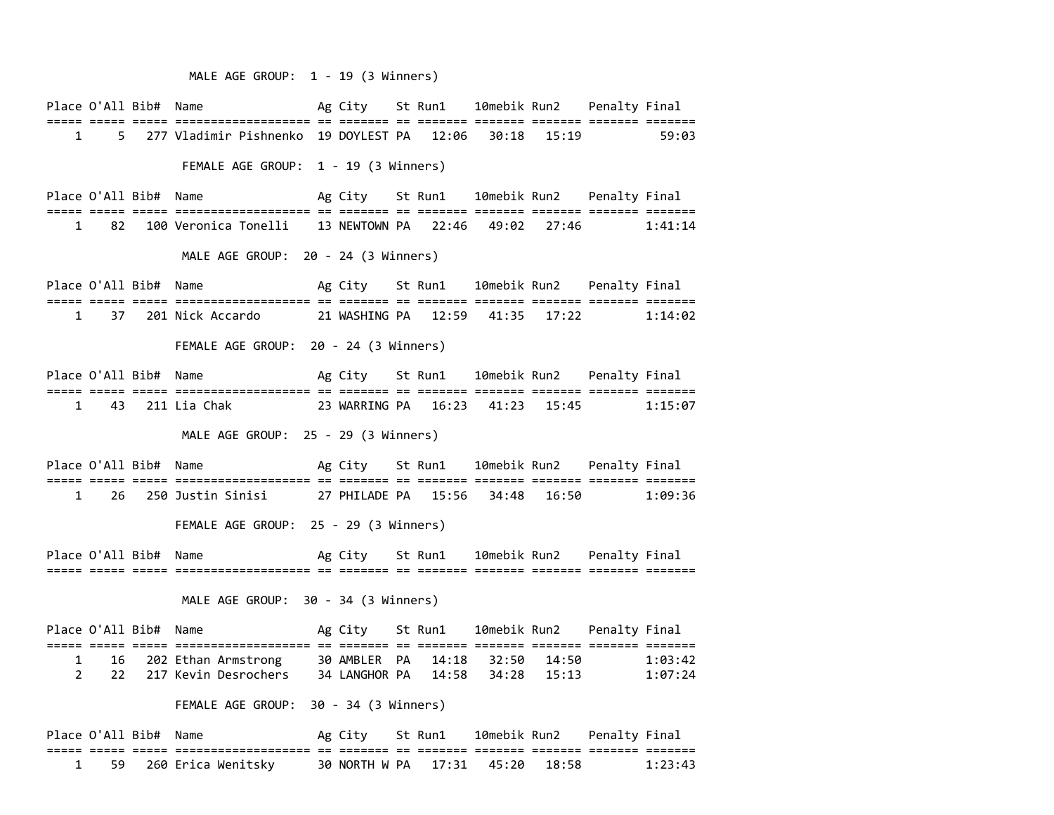### MALE AGE GROUP: 1 - 19 (3 Winners)

Place O'All Bib# Name  $\overline{A}$  Ag City St Run1 10mebik Run2 Penalty Final ===== ===== ===== =================== == ======= == ======= ======= ======= ======= ======= 1 5 277 Vladimir Pishnenko 19 DOYLEST PA 12:06 30:18 15:19 59:03

FEMALE AGE GROUP: 1 - 19 (3 Winners)

Place O'All Bib# Name  $\overline{A}$  Ag City St Run1 10mebik Run2 Penalty Final ===== ===== ===== =================== == ======= == ======= ======= ======= ======= ======= 1 82 100 Veronica Tonelli 13 NEWTOWN PA 22:46 49:02 27:46 1:41:14

MALE AGE GROUP: 20 - 24 (3 Winners)

Place O'All Bib# Name  $\overline{A}$  Ag City St Run1 10mebik Run2 Penalty Final ===== ===== ===== =================== == ======= == ======= ======= ======= ======= ======= 1 37 201 Nick Accardo 21 WASHING PA 12:59 41:35 17:22 1:14:02

### FEMALE AGE GROUP: 20 - 24 (3 Winners)

Place O'All Bib# Name  $\overline{A}$  Ag City St Run1 10mebik Run2 Penalty Final ===== ===== ===== =================== == ======= == ======= ======= ======= ======= ======= 1 43 211 Lia Chak 23 WARRING PA 16:23 41:23 15:45 1:15:07

MALE AGE GROUP: 25 - 29 (3 Winners)

Place O'All Bib# Name  $Ag$  City St Run1 10mebik Run2 Penalty Final ===== ===== ===== =================== == ======= == ======= ======= ======= ======= ======= 1 26 250 Justin Sinisi 27 PHILADE PA 15:56 34:48 16:50 1:09:36

FEMALE AGE GROUP: 25 - 29 (3 Winners)

Place O'All Bib# Name  $\overline{A}$  Ag City St Run1 10mebik Run2 Penalty Final ===== ===== ===== =================== == ======= == ======= ======= ======= ======= =======

#### MALE AGE GROUP: 30 - 34 (3 Winners)

|  | Place O'All Bib# Name |                           | Ag City St Run1 |  |                                 | 10mebik Run2 Penalty Final |         |
|--|-----------------------|---------------------------|-----------------|--|---------------------------------|----------------------------|---------|
|  |                       |                           |                 |  |                                 |                            |         |
|  |                       | 1 16 202 Ethan Armstrong  |                 |  | 30 AMBLER PA 14:18 32:50 14:50  |                            | 1:03:42 |
|  |                       | 2 22 217 Kevin Desrochers |                 |  | 34 LANGHOR PA 14:58 34:28 15:13 |                            | 1:07:24 |

### FEMALE AGE GROUP: 30 - 34 (3 Winners)

|  | Place O'All Bib# Name |                         |  | Ag City     St Run1             | 10mebik Run2     Penalty Final |  |         |
|--|-----------------------|-------------------------|--|---------------------------------|--------------------------------|--|---------|
|  |                       | -------------------     |  |                                 |                                |  |         |
|  |                       | 1 59 260 Erica Wenitsky |  | 30 NORTH W PA 17:31 45:20 18:58 |                                |  | 1:23:43 |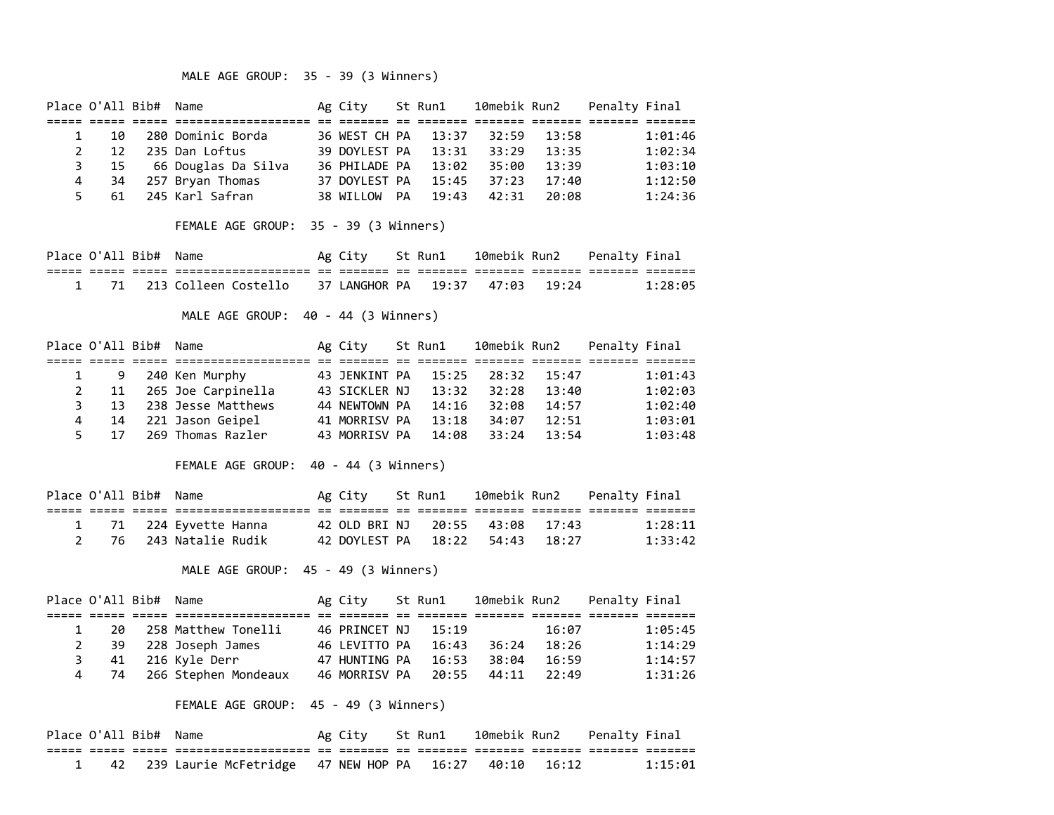# MALE AGE GROUP: 35 - 39 (3 Winners)

| Place O'All Bib# Name |                 |                      |                                                                                            | Ag City St Run1   |       | 10mebik Run2 |       | Penalty Final              |         |
|-----------------------|-----------------|----------------------|--------------------------------------------------------------------------------------------|-------------------|-------|--------------|-------|----------------------------|---------|
|                       |                 |                      |                                                                                            |                   |       |              |       |                            |         |
| $\mathbf{1}$          | 10              |                      | 280 Dominic Borda                                                                          | 36 WEST CH PA     | 13:37 | 32:59        | 13:58 |                            | 1:01:46 |
| $\overline{2}$        | 12 <sup>2</sup> |                      | 235 Dan Loftus                                                                             | 39 DOYLEST PA     | 13:31 | 33:29        | 13:35 |                            | 1:02:34 |
| 3                     | 15              |                      | 66 Douglas Da Silva    36 PHILADE PA                                                       |                   | 13:02 | 35:00        | 13:39 |                            | 1:03:10 |
| 4                     | 34              |                      | 257 Bryan Thomas                                                                           | 37 DOYLEST PA     | 15:45 | 37:23        | 17:40 |                            | 1:12:50 |
| 5                     | 61              |                      | 245 Karl Safran                                                                            | 38 WILLOW PA      | 19:43 | 42:31        | 20:08 |                            | 1:24:36 |
|                       |                 |                      | FEMALE AGE GROUP: 35 - 39 (3 Winners)                                                      |                   |       |              |       |                            |         |
| Place O'All Bib# Name |                 |                      |                                                                                            | Ag City  St Run1  |       |              |       | 10mebik Run2 Penalty Final |         |
|                       |                 | ===== ===== ===== == | =====================                                                                      | eeeeee ee         |       |              |       |                            |         |
| $\mathbf{1}$          | 71              |                      | 213 Colleen Costello 37 LANGHOR PA 19:37                                                   |                   |       | 47:03        | 19:24 |                            | 1:28:05 |
| Place O'All Bib# Name |                 |                      | MALE AGE GROUP: 40 - 44 (3 Winners)                                                        | Ag City   St Run1 |       | 10mebik Run2 |       | Penalty Final              |         |
|                       |                 |                      | ================                                                                           |                   |       |              |       |                            |         |
| $\mathbf{1}$          | 9               |                      | 240 Ken Murphy                                                                             | 43 JENKINT PA     | 15:25 | 28:32        | 15:47 |                            | 1:01:43 |
| $\overline{2}$        | 11              |                      | 265 Joe Carpinella 43 SICKLER NJ                                                           |                   | 13:32 | 32:28        | 13:40 |                            | 1:02:03 |
| 3                     | 13              |                      | 238 Jesse Matthews                                                                         | 44 NEWTOWN PA     | 14:16 | 32:08        |       | 14:57                      | 1:02:40 |
| 4                     | 14              |                      | 221 Jason Geipel 41 MORRISV PA 13:18 34:07                                                 |                   |       |              | 12:51 |                            | 1:03:01 |
| 5                     | 17              |                      | 269 Thomas Razler                                                                          | 43 MORRISV PA     | 14:08 | 33:24        | 13:54 |                            | 1:03:48 |
|                       |                 |                      | FEMALE AGE GROUP: 40 - 44 (3 Winners)                                                      |                   |       |              |       |                            |         |
| Place O'All Bib# Name |                 |                      |                                                                                            | Ag City St Run1   |       | 10mebik Run2 |       | Penalty Final              |         |
|                       |                 |                      | asaas aadaa aadaa aadaadadadadadaada oo aadadaa oo aadadaa aadadaa aadadaa aadadaa aadadaa |                   |       |              |       |                            |         |
| $\mathbf{1}$          | 71              |                      | 224 Eyvette Hanna 42 OLD BRI NJ 20:55 43:08                                                |                   |       |              | 17:43 |                            | 1:28:11 |
| $\overline{2}$        | 76              |                      | 243 Natalie Rudik                                                                          | 42 DOYLEST PA     | 18:22 | 54:43        | 18:27 |                            | 1:33:42 |
|                       |                 |                      | MALE AGE GROUP: 45 - 49 (3 Winners)                                                        |                   |       |              |       |                            |         |

|             | Place O'All Bib# Name |                           | Ag City             | St Run1 | 10mebik Run2 |       | Penalty Final |         |
|-------------|-----------------------|---------------------------|---------------------|---------|--------------|-------|---------------|---------|
|             |                       |                           |                     |         |              |       |               |         |
|             |                       | 20 258 Matthew Tonelli    | 46 PRINCET NJ 15:19 |         |              | 16:07 |               | 1:05:45 |
| $2^{\circ}$ |                       | 39 228 Joseph James       | 46 LEVITTO PA       | 16:43   | 36:24        | 18:26 |               | 1:14:29 |
|             |                       | 41 216 Kyle Derr          | 47 HUNTING PA       | 16:53   | 38:04        | 16:59 |               | 1:14:57 |
|             |                       | 4 74 266 Stephen Mondeaux | 46 MORRISV PA       | 20:55   | 44:11        | 22:49 |               | 1:31:26 |

# FEMALE AGE GROUP: 45 - 49 (3 Winners)

| Place O'All Bib# Name |  |                                                            | Ag City St Run1 10mebik Run2 Penalty Final |  |  |         |
|-----------------------|--|------------------------------------------------------------|--------------------------------------------|--|--|---------|
|                       |  |                                                            |                                            |  |  |         |
|                       |  | 1 42 239 Laurie McFetridge 47 NEW HOP PA 16:27 40:10 16:12 |                                            |  |  | 1:15:01 |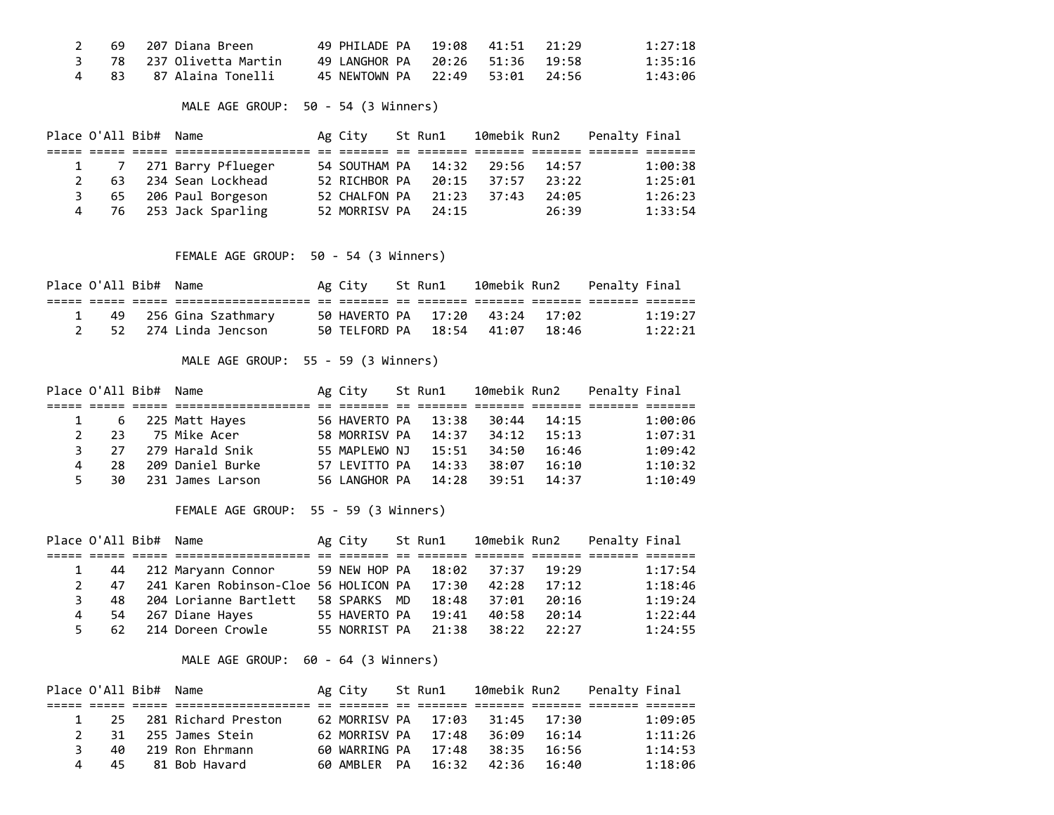|  | 2 69 207 Diana Breen            | 49 PHTIADE PA 19:08 41:51 21:29 |  | 1:27:18 |
|--|---------------------------------|---------------------------------|--|---------|
|  | 3     78    237 Olivetta Martin | 49 LANGHOR PA 20:26 51:36 19:58 |  | 1:35:16 |
|  | 4 83 87 Alaina Tonelli          | 45 NEWTOWN PA 22:49 53:01 24:56 |  | 1:43:06 |

# MALE AGE GROUP: 50 - 54 (3 Winners)

| Place O'All Bib# Name |     |                        | Ag City                     | St Run1 | 10mebik Run2 |       | Penalty Final |         |
|-----------------------|-----|------------------------|-----------------------------|---------|--------------|-------|---------------|---------|
|                       |     |                        |                             |         |              |       |               |         |
|                       |     | 1 7 271 Barry Pflueger | 54 SOUTHAM PA  14:32  29:56 |         |              | 14:57 |               | 1:00:38 |
|                       | 63. | 234 Sean Lockhead      | 52 RICHBOR PA               | 20:15   | 37:57        | 23:22 |               | 1:25:01 |
| 3                     |     | 65 206 Paul Borgeson   | 52 CHALFON PA               | 21:23   | 37:43        | 24:05 |               | 1:26:23 |
|                       |     | 76 253 Jack Sparling   | 52 MORRISV PA               | 24:15   |              | 26:39 |               | 1:33:54 |

# FEMALE AGE GROUP: 50 - 54 (3 Winners)

| Place O'All Bib# Name |  |                         | Ag City St Run1 |                                 |  | 10mebik Run2   Penalty Final |         |
|-----------------------|--|-------------------------|-----------------|---------------------------------|--|------------------------------|---------|
|                       |  |                         |                 |                                 |  |                              |         |
| $\mathbf{1}$          |  | 49   256 Gina Szathmary |                 | 50 HAVERTO PA 17:20 43:24 17:02 |  |                              | 1:19:27 |
|                       |  | 2 52 274 Linda Jencson  |                 | 50 TELFORD PA 18:54 41:07 18:46 |  |                              | 1:22:21 |

# MALE AGE GROUP: 55 - 59 (3 Winners)

| Place O'All Bib# Name |     |                    | Ag City       | St Run1 | 10mebik Run2 |       | Penalty Final |         |
|-----------------------|-----|--------------------|---------------|---------|--------------|-------|---------------|---------|
|                       |     |                    |               |         |              |       |               |         |
|                       |     | 1 6 225 Matt Hayes | 56 HAVERTO PA | 13:38   | 30:44        | 14:15 |               | 1:00:06 |
|                       | 23. | 75 Mike Acer       | 58 MORRISV PA | 14:37   | 34:12        | 15:13 |               | 1:07:31 |
|                       | 27  | 279 Harald Snik    | 55 MAPLEWO NJ | 15:51   | 34:50        | 16:46 |               | 1:09:42 |
| $\overline{a}$        | 28. | 209 Daniel Burke   | 57 LEVITTO PA | 14:33   | 38:07        | 16:10 |               | 1:10:32 |
| 5.                    | 30  | 231 James Larson   | 56 LANGHOR PA | 14:28   | 39:51        | 14:37 |               | 1:10:49 |

# FEMALE AGE GROUP: 55 - 59 (3 Winners)

| Place O'All Bib# Name |     |                                             | Ag City       | St Run1 | 10mebik Run2 |       | Penalty Final |         |
|-----------------------|-----|---------------------------------------------|---------------|---------|--------------|-------|---------------|---------|
|                       |     |                                             |               |         |              |       |               |         |
|                       | 44  | 212 Maryann Connor 59 NEW HOP PA            |               |         | 18:02 37:37  | 19:29 |               | 1:17:54 |
|                       | 47  | 241 Karen Robinson-Cloe 56 HOLICON PA 17:30 |               |         | 42:28        | 17:12 |               | 1:18:46 |
|                       | 48. | 204 Lorianne Bartlett                       | 58 SPARKS MD  | 18:48   | 37:01        | 20:16 |               | 1:19:24 |
| 4                     | 54  | 267 Diane Hayes                             | 55 HAVERTO PA | 19:41   | 40:58        | 20:14 |               | 1:22:44 |
|                       | 62  | 214 Doreen Crowle                           | 55 NORRIST PA | 21:38   | 38:22        | 22:27 |               | 1:24:55 |

# MALE AGE GROUP: 60 - 64 (3 Winners)

| Place O'All Bib# Name |     |                     | Ag City St Run1           |  | 10mebik Run2    |               | Penalty Final |         |
|-----------------------|-----|---------------------|---------------------------|--|-----------------|---------------|---------------|---------|
|                       |     |                     |                           |  |                 |               |               |         |
|                       | -25 | 281 Richard Preston | 62 MORRISV PA 17:03 31:45 |  |                 | <u> 17:30</u> |               | 1:09:05 |
|                       | 31. | 255 James Stein     | 62 MORRISV PA 17:48       |  | 36:09           | 16:14         |               | 1:11:26 |
| ₹                     | 40  | 219 Ron Ehrmann     | 60 WARRING PA 17:48       |  | 38:35           | 16:56         |               | 1:14:53 |
|                       | 45  | 81 Bob Havard       | 60 AMBLER PA              |  | $16:32$ $42:36$ | 16:40         |               | 1:18:06 |